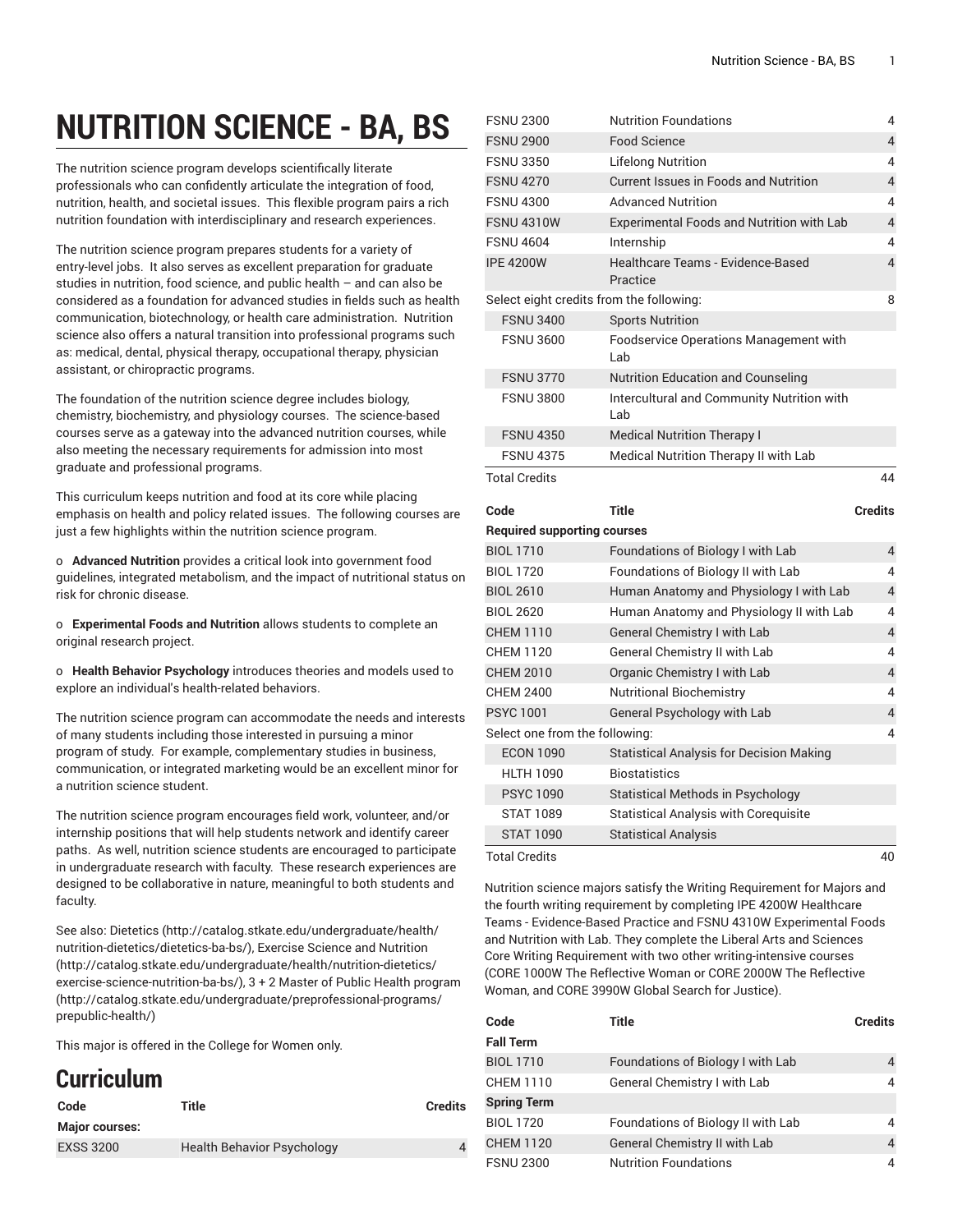## **NUTRITION SCIENCE - BA, BS**

The nutrition science program develops scientifically literate professionals who can confidently articulate the integration of food, nutrition, health, and societal issues. This flexible program pairs a rich nutrition foundation with interdisciplinary and research experiences.

The nutrition science program prepares students for a variety of entry-level jobs. It also serves as excellent preparation for graduate studies in nutrition, food science, and public health – and can also be considered as a foundation for advanced studies in fields such as health communication, biotechnology, or health care administration. Nutrition science also offers a natural transition into professional programs such as: medical, dental, physical therapy, occupational therapy, physician assistant, or chiropractic programs.

The foundation of the nutrition science degree includes biology, chemistry, biochemistry, and physiology courses. The science-based courses serve as a gateway into the advanced nutrition courses, while also meeting the necessary requirements for admission into most graduate and professional programs.

This curriculum keeps nutrition and food at its core while placing emphasis on health and policy related issues. The following courses are just a few highlights within the nutrition science program.

o **Advanced Nutrition** provides a critical look into government food guidelines, integrated metabolism, and the impact of nutritional status on risk for chronic disease.

o **Experimental Foods and Nutrition** allows students to complete an original research project.

o **Health Behavior Psychology** introduces theories and models used to explore an individual's health-related behaviors.

The nutrition science program can accommodate the needs and interests of many students including those interested in pursuing a minor program of study. For example, complementary studies in business, communication, or integrated marketing would be an excellent minor for a nutrition science student.

The nutrition science program encourages field work, volunteer, and/or internship positions that will help students network and identify career paths. As well, nutrition science students are encouraged to participate in undergraduate research with faculty. These research experiences are designed to be collaborative in nature, meaningful to both students and faculty.

See also: [Dietetics](http://catalog.stkate.edu/undergraduate/health/nutrition-dietetics/dietetics-ba-bs/) ([http://catalog.stkate.edu/undergraduate/health/](http://catalog.stkate.edu/undergraduate/health/nutrition-dietetics/dietetics-ba-bs/) [nutrition-dietetics/dietetics-ba-bs/](http://catalog.stkate.edu/undergraduate/health/nutrition-dietetics/dietetics-ba-bs/)), Exercise Science and [Nutrition](http://catalog.stkate.edu/undergraduate/health/nutrition-dietetics/exercise-science-nutrition-ba-bs/) ([http://catalog.stkate.edu/undergraduate/health/nutrition-dietetics/](http://catalog.stkate.edu/undergraduate/health/nutrition-dietetics/exercise-science-nutrition-ba-bs/) [exercise-science-nutrition-ba-bs/\)](http://catalog.stkate.edu/undergraduate/health/nutrition-dietetics/exercise-science-nutrition-ba-bs/), 3 + 2 Master of Public Health [program](http://catalog.stkate.edu/undergraduate/preprofessional-programs/prepublic-health/) ([http://catalog.stkate.edu/undergraduate/preprofessional-programs/](http://catalog.stkate.edu/undergraduate/preprofessional-programs/prepublic-health/) [prepublic-health/](http://catalog.stkate.edu/undergraduate/preprofessional-programs/prepublic-health/))

This major is offered in the College for Women only.

## **Curriculum**

| Code                  | Title                             | <b>Credits</b> |
|-----------------------|-----------------------------------|----------------|
| <b>Major courses:</b> |                                   |                |
| <b>EXSS 3200</b>      | <b>Health Behavior Psychology</b> |                |

| <b>FSNU 2300</b>                         | <b>Nutrition Foundations</b>                      | 4                       |
|------------------------------------------|---------------------------------------------------|-------------------------|
| <b>FSNU 2900</b>                         | <b>Food Science</b>                               | $\overline{4}$          |
| <b>FSNU 3350</b>                         | <b>Lifelong Nutrition</b>                         | 4                       |
| <b>FSNU 4270</b>                         | <b>Current Issues in Foods and Nutrition</b>      | $\overline{4}$          |
| <b>FSNU 4300</b>                         | <b>Advanced Nutrition</b>                         | 4                       |
| <b>FSNU 4310W</b>                        | <b>Experimental Foods and Nutrition with Lab</b>  | $\overline{4}$          |
| <b>FSNU 4604</b>                         | Internship                                        | 4                       |
| <b>IPE 4200W</b>                         | Healthcare Teams - Evidence-Based<br>Practice     | $\overline{4}$          |
| Select eight credits from the following: |                                                   | 8                       |
| <b>FSNU 3400</b>                         | <b>Sports Nutrition</b>                           |                         |
| <b>FSNU 3600</b>                         | Foodservice Operations Management with<br>Lab     |                         |
| <b>FSNU 3770</b>                         | Nutrition Education and Counseling                |                         |
| <b>FSNU 3800</b>                         | Intercultural and Community Nutrition with<br>Lab |                         |
| <b>FSNU 4350</b>                         | <b>Medical Nutrition Therapy I</b>                |                         |
| <b>FSNU 4375</b>                         | Medical Nutrition Therapy II with Lab             |                         |
| <b>Total Credits</b>                     |                                                   | 44                      |
|                                          |                                                   |                         |
| Code                                     | <b>Title</b>                                      | <b>Credits</b>          |
| <b>Required supporting courses</b>       |                                                   |                         |
| <b>BIOL 1710</b>                         | Foundations of Biology I with Lab                 | 4                       |
| <b>BIOL 1720</b>                         | Foundations of Biology II with Lab                | 4                       |
| <b>BIOL 2610</b>                         | Human Anatomy and Physiology I with Lab           | $\overline{4}$          |
| <b>BIOL 2620</b>                         | Human Anatomy and Physiology II with Lab          | 4                       |
| <b>CHEM 1110</b>                         | General Chemistry I with Lab                      | $\overline{4}$          |
| <b>CHEM 1120</b>                         | General Chemistry II with Lab                     | 4                       |
| <b>CHEM 2010</b>                         | Organic Chemistry I with Lab                      | $\overline{4}$          |
| <b>CHEM 2400</b>                         | <b>Nutritional Biochemistry</b>                   | 4                       |
| <b>PSYC 1001</b>                         | General Psychology with Lab                       | $\overline{\mathbf{4}}$ |
| Select one from the following:           |                                                   | 4                       |
| <b>ECON 1090</b>                         | <b>Statistical Analysis for Decision Making</b>   |                         |
| <b>HLTH 1090</b>                         | <b>Biostatistics</b>                              |                         |
| <b>PSYC1090</b>                          | Statistical Methods in Psychology                 |                         |
| <b>STAT 1089</b>                         | <b>Statistical Analysis with Corequisite</b>      |                         |
| <b>STAT 1090</b>                         | <b>Statistical Analysis</b>                       |                         |

Nutrition science majors satisfy the Writing Requirement for Majors and the fourth writing requirement by completing IPE 4200W Healthcare Teams - Evidence-Based Practice and FSNU 4310W Experimental Foods and Nutrition with Lab. They complete the Liberal Arts and Sciences Core Writing Requirement with two other writing-intensive courses [\(CORE 1000W](/search/?P=CORE%201000W) The Reflective Woman or [CORE 2000W](/search/?P=CORE%202000W) The Reflective Woman, and [CORE 3990W](/search/?P=CORE%203990W) Global Search for Justice).

| Code<br><b>Fall Term</b> | Title                              | <b>Credits</b> |
|--------------------------|------------------------------------|----------------|
| <b>BIOL 1710</b>         | Foundations of Biology I with Lab  |                |
| CHEM 1110                | General Chemistry I with Lab       |                |
| <b>Spring Term</b>       |                                    |                |
| <b>BIOL 1720</b>         | Foundations of Biology II with Lab |                |
| <b>CHEM 1120</b>         | General Chemistry II with Lab      | 4              |
| <b>FSNU 2300</b>         | <b>Nutrition Foundations</b>       |                |